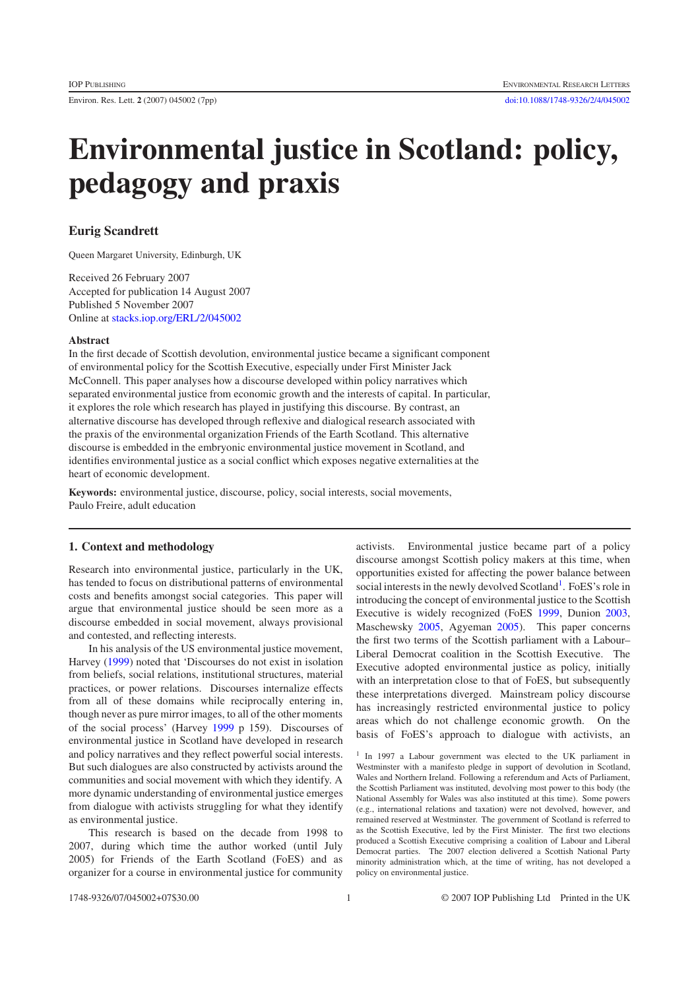# **Environmental justice in Scotland: policy, pedagogy and praxis**

## **Eurig Scandrett**

Queen Margaret University, Edinburgh, UK

Received 26 February 2007 Accepted for publication 14 August 2007 Published 5 November 2007 Online at [stacks.iop.org/ERL/2/045002](http://stacks.iop.org/ERL/2/045002)

#### **Abstract**

In the first decade of Scottish devolution, environmental justice became a significant component of environmental policy for the Scottish Executive, especially under First Minister Jack McConnell. This paper analyses how a discourse developed within policy narratives which separated environmental justice from economic growth and the interests of capital. In particular, it explores the role which research has played in justifying this discourse. By contrast, an alternative discourse has developed through reflexive and dialogical research associated with the praxis of the environmental organization Friends of the Earth Scotland. This alternative discourse is embedded in the embryonic environmental justice movement in Scotland, and identifies environmental justice as a social conflict which exposes negative externalities at the heart of economic development.

**Keywords:** environmental justice, discourse, policy, social interests, social movements, Paulo Freire, adult education

#### **1. Context and methodology**

Research into environmental justice, particularly in the UK, has tended to focus on distributional patterns of environmental costs and benefits amongst social categories. This paper will argue that environmental justice should be seen more as a discourse embedded in social movement, always provisional and contested, and reflecting interests.

In his analysis of the US environmental justice movement, Harvey [\(1999\)](#page-6-0) noted that 'Discourses do not exist in isolation from beliefs, social relations, institutional structures, material practices, or power relations. Discourses internalize effects from all of these domains while reciprocally entering in, though never as pure mirror images, to all of the other moments of the social process' (Harvey [1999](#page-6-0) p 159). Discourses of environmental justice in Scotland have developed in research and policy narratives and they reflect powerful social interests. But such dialogues are also constructed by activists around the communities and social movement with which they identify. A more dynamic understanding of environmental justice emerges from dialogue with activists struggling for what they identify as environmental justice.

This research is based on the decade from 1998 to 2007, during which time the author worked (until July 2005) for Friends of the Earth Scotland (FoES) and as organizer for a course in environmental justice for community

activists. Environmental justice became part of a policy discourse amongst Scottish policy makers at this time, when opportunities existed for affecting the power balance between social interests in the newly devolved Scotland<sup>[1](#page-0-0)</sup>. FoES's role in introducing the concept of environmental justice to the Scottish Executive is widely recognized (FoES [1999,](#page-6-1) Dunion [2003,](#page-6-2) Maschewsky [2005,](#page-6-3) Agyeman [2005\)](#page-5-0). This paper concerns the first two terms of the Scottish parliament with a Labour– Liberal Democrat coalition in the Scottish Executive. The Executive adopted environmental justice as policy, initially with an interpretation close to that of FoES, but subsequently these interpretations diverged. Mainstream policy discourse has increasingly restricted environmental justice to policy areas which do not challenge economic growth. On the basis of FoES's approach to dialogue with activists, an

<span id="page-0-0"></span><sup>1</sup> In 1997 a Labour government was elected to the UK parliament in Westminster with a manifesto pledge in support of devolution in Scotland, Wales and Northern Ireland. Following a referendum and Acts of Parliament, the Scottish Parliament was instituted, devolving most power to this body (the National Assembly for Wales was also instituted at this time). Some powers (e.g., international relations and taxation) were not devolved, however, and remained reserved at Westminster. The government of Scotland is referred to as the Scottish Executive, led by the First Minister. The first two elections produced a Scottish Executive comprising a coalition of Labour and Liberal Democrat parties. The 2007 election delivered a Scottish National Party minority administration which, at the time of writing, has not developed a policy on environmental justice.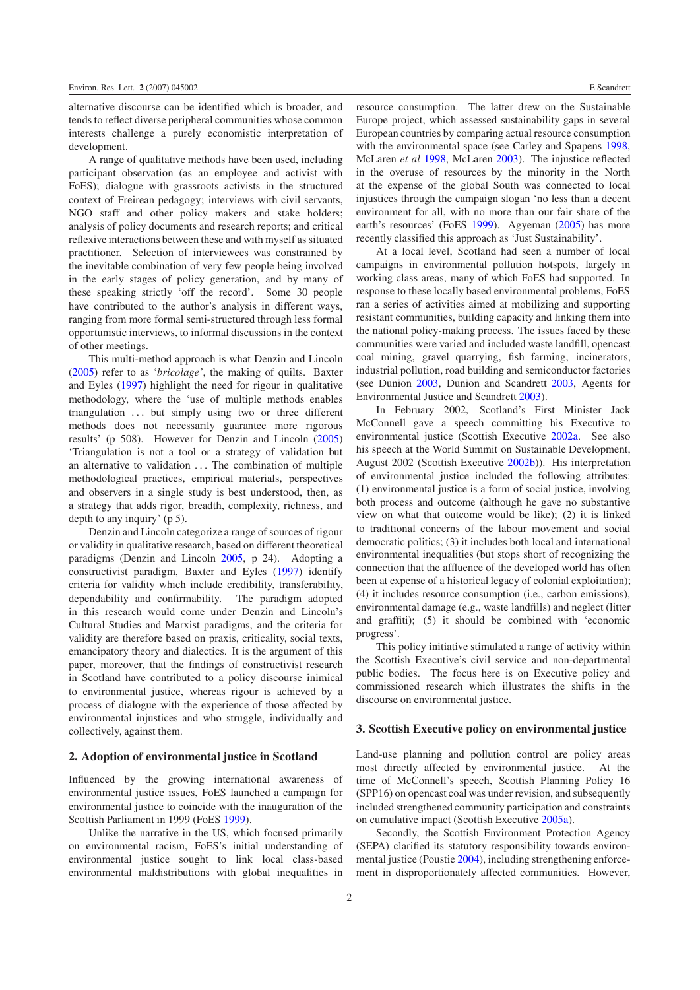alternative discourse can be identified which is broader, and tends to reflect diverse peripheral communities whose common interests challenge a purely economistic interpretation of development.

A range of qualitative methods have been used, including participant observation (as an employee and activist with FoES); dialogue with grassroots activists in the structured context of Freirean pedagogy; interviews with civil servants, NGO staff and other policy makers and stake holders; analysis of policy documents and research reports; and critical reflexive interactions between these and with myself as situated practitioner. Selection of interviewees was constrained by the inevitable combination of very few people being involved in the early stages of policy generation, and by many of these speaking strictly 'off the record'. Some 30 people have contributed to the author's analysis in different ways, ranging from more formal semi-structured through less formal opportunistic interviews, to informal discussions in the context of other meetings.

This multi-method approach is what Denzin and Lincoln [\(2005\)](#page-6-4) refer to as '*bricolage'*, the making of quilts. Baxter and Eyles [\(1997\)](#page-5-1) highlight the need for rigour in qualitative methodology, where the 'use of multiple methods enables triangulation *...* but simply using two or three different methods does not necessarily guarantee more rigorous results' (p 508). However for Denzin and Lincoln [\(2005\)](#page-6-4) 'Triangulation is not a tool or a strategy of validation but an alternative to validation *...* The combination of multiple methodological practices, empirical materials, perspectives and observers in a single study is best understood, then, as a strategy that adds rigor, breadth, complexity, richness, and depth to any inquiry' (p 5).

Denzin and Lincoln categorize a range of sources of rigour or validity in qualitative research, based on different theoretical paradigms (Denzin and Lincoln [2005,](#page-6-4) p 24). Adopting a constructivist paradigm, Baxter and Eyles [\(1997\)](#page-5-1) identify criteria for validity which include credibility, transferability, dependability and confirmability. The paradigm adopted in this research would come under Denzin and Lincoln's Cultural Studies and Marxist paradigms, and the criteria for validity are therefore based on praxis, criticality, social texts, emancipatory theory and dialectics. It is the argument of this paper, moreover, that the findings of constructivist research in Scotland have contributed to a policy discourse inimical to environmental justice, whereas rigour is achieved by a process of dialogue with the experience of those affected by environmental injustices and who struggle, individually and collectively, against them.

#### **2. Adoption of environmental justice in Scotland**

Influenced by the growing international awareness of environmental justice issues, FoES launched a campaign for environmental justice to coincide with the inauguration of the Scottish Parliament in 1999 (FoES [1999\)](#page-6-1).

Unlike the narrative in the US, which focused primarily on environmental racism, FoES's initial understanding of environmental justice sought to link local class-based environmental maldistributions with global inequalities in

resource consumption. The latter drew on the Sustainable Europe project, which assessed sustainability gaps in several European countries by comparing actual resource consumption with the environmental space (see Carley and Spapens [1998,](#page-5-2) McLaren *et al* [1998,](#page-6-5) McLaren [2003\)](#page-6-6). The injustice reflected in the overuse of resources by the minority in the North at the expense of the global South was connected to local injustices through the campaign slogan 'no less than a decent environment for all, with no more than our fair share of the earth's resources' (FoES [1999\)](#page-6-1). Agyeman [\(2005\)](#page-5-0) has more recently classified this approach as 'Just Sustainability'.

At a local level, Scotland had seen a number of local campaigns in environmental pollution hotspots, largely in working class areas, many of which FoES had supported. In response to these locally based environmental problems, FoES ran a series of activities aimed at mobilizing and supporting resistant communities, building capacity and linking them into the national policy-making process. The issues faced by these communities were varied and included waste landfill, opencast coal mining, gravel quarrying, fish farming, incinerators, industrial pollution, road building and semiconductor factories (see Dunion [2003,](#page-6-2) Dunion and Scandrett [2003,](#page-6-7) Agents for Environmental Justice and Scandrett [2003\)](#page-5-3).

In February 2002, Scotland's First Minister Jack McConnell gave a speech committing his Executive to environmental justice (Scottish Executive [2002a.](#page-6-8) See also his speech at the World Summit on Sustainable Development, August 2002 (Scottish Executive [2002b\)](#page-6-9)). His interpretation of environmental justice included the following attributes: (1) environmental justice is a form of social justice, involving both process and outcome (although he gave no substantive view on what that outcome would be like); (2) it is linked to traditional concerns of the labour movement and social democratic politics; (3) it includes both local and international environmental inequalities (but stops short of recognizing the connection that the affluence of the developed world has often been at expense of a historical legacy of colonial exploitation); (4) it includes resource consumption (i.e., carbon emissions), environmental damage (e.g., waste landfills) and neglect (litter and graffiti); (5) it should be combined with 'economic progress'.

This policy initiative stimulated a range of activity within the Scottish Executive's civil service and non-departmental public bodies. The focus here is on Executive policy and commissioned research which illustrates the shifts in the discourse on environmental justice.

## **3. Scottish Executive policy on environmental justice**

Land-use planning and pollution control are policy areas most directly affected by environmental justice. At the time of McConnell's speech, Scottish Planning Policy 16 (SPP16) on opencast coal was under revision, and subsequently included strengthened community participation and constraints on cumulative impact (Scottish Executive [2005a\)](#page-6-10).

Secondly, the Scottish Environment Protection Agency (SEPA) clarified its statutory responsibility towards environmental justice (Poustie [2004\)](#page-6-11), including strengthening enforcement in disproportionately affected communities. However,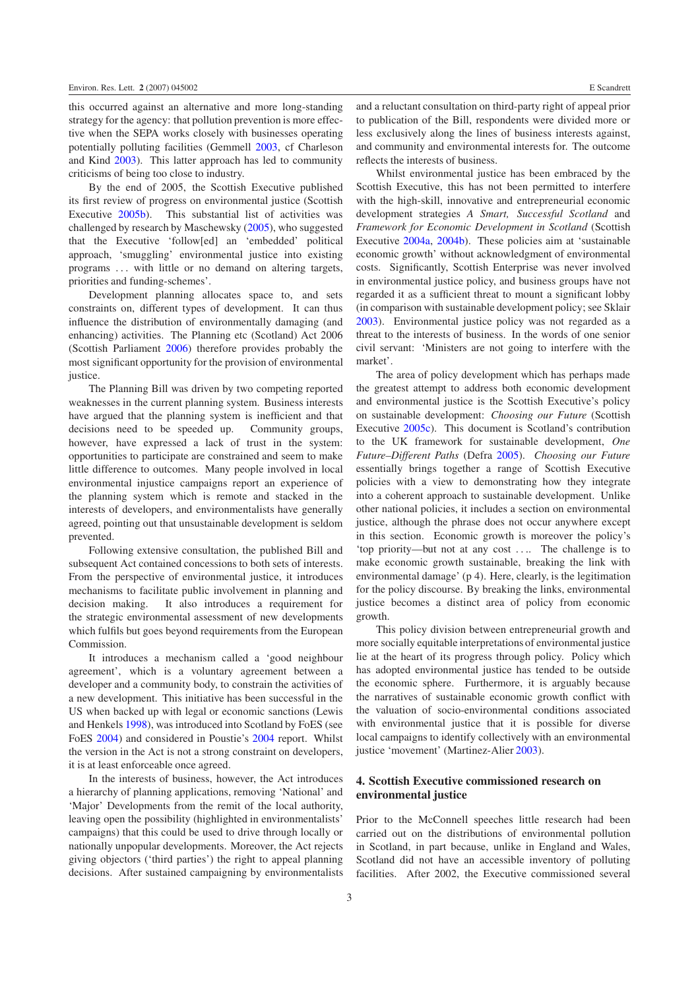this occurred against an alternative and more long-standing strategy for the agency: that pollution prevention is more effective when the SEPA works closely with businesses operating potentially polluting facilities (Gemmell [2003,](#page-6-12) cf Charleson and Kind [2003\)](#page-5-4). This latter approach has led to community criticisms of being too close to industry.

By the end of 2005, the Scottish Executive published its first review of progress on environmental justice (Scottish Executive [2005b\)](#page-6-13). This substantial list of activities was challenged by research by Maschewsky [\(2005\)](#page-6-3), who suggested that the Executive 'follow[ed] an 'embedded' political approach, 'smuggling' environmental justice into existing programs *...* with little or no demand on altering targets, priorities and funding-schemes'.

Development planning allocates space to, and sets constraints on, different types of development. It can thus influence the distribution of environmentally damaging (and enhancing) activities. The Planning etc (Scotland) Act 2006 (Scottish Parliament [2006\)](#page-6-14) therefore provides probably the most significant opportunity for the provision of environmental justice.

The Planning Bill was driven by two competing reported weaknesses in the current planning system. Business interests have argued that the planning system is inefficient and that decisions need to be speeded up. Community groups, however, have expressed a lack of trust in the system: opportunities to participate are constrained and seem to make little difference to outcomes. Many people involved in local environmental injustice campaigns report an experience of the planning system which is remote and stacked in the interests of developers, and environmentalists have generally agreed, pointing out that unsustainable development is seldom prevented.

Following extensive consultation, the published Bill and subsequent Act contained concessions to both sets of interests. From the perspective of environmental justice, it introduces mechanisms to facilitate public involvement in planning and decision making. It also introduces a requirement for the strategic environmental assessment of new developments which fulfils but goes beyond requirements from the European Commission.

It introduces a mechanism called a 'good neighbour agreement', which is a voluntary agreement between a developer and a community body, to constrain the activities of a new development. This initiative has been successful in the US when backed up with legal or economic sanctions (Lewis and Henkels [1998\)](#page-6-15), was introduced into Scotland by FoES (see FoES [2004\)](#page-6-16) and considered in Poustie's [2004](#page-6-11) report. Whilst the version in the Act is not a strong constraint on developers, it is at least enforceable once agreed.

In the interests of business, however, the Act introduces a hierarchy of planning applications, removing 'National' and 'Major' Developments from the remit of the local authority, leaving open the possibility (highlighted in environmentalists' campaigns) that this could be used to drive through locally or nationally unpopular developments. Moreover, the Act rejects giving objectors ('third parties') the right to appeal planning decisions. After sustained campaigning by environmentalists and a reluctant consultation on third-party right of appeal prior to publication of the Bill, respondents were divided more or less exclusively along the lines of business interests against, and community and environmental interests for. The outcome reflects the interests of business.

Whilst environmental justice has been embraced by the Scottish Executive, this has not been permitted to interfere with the high-skill, innovative and entrepreneurial economic development strategies *A Smart, Successful Scotland* and *Framework for Economic Development in Scotland* (Scottish Executive [2004a,](#page-6-17) [2004b\)](#page-6-18). These policies aim at 'sustainable economic growth' without acknowledgment of environmental costs. Significantly, Scottish Enterprise was never involved in environmental justice policy, and business groups have not regarded it as a sufficient threat to mount a significant lobby (in comparison with sustainable development policy; see Sklair [2003\)](#page-6-19). Environmental justice policy was not regarded as a threat to the interests of business. In the words of one senior civil servant: 'Ministers are not going to interfere with the market'.

The area of policy development which has perhaps made the greatest attempt to address both economic development and environmental justice is the Scottish Executive's policy on sustainable development: *Choosing our Future* (Scottish Executive [2005c\)](#page-6-20). This document is Scotland's contribution to the UK framework for sustainable development, *One Future–Different Paths* (Defra [2005\)](#page-6-21). *Choosing our Future* essentially brings together a range of Scottish Executive policies with a view to demonstrating how they integrate into a coherent approach to sustainable development. Unlike other national policies, it includes a section on environmental justice, although the phrase does not occur anywhere except in this section. Economic growth is moreover the policy's 'top priority—but not at any cost *...*. The challenge is to make economic growth sustainable, breaking the link with environmental damage' (p 4). Here, clearly, is the legitimation for the policy discourse. By breaking the links, environmental justice becomes a distinct area of policy from economic growth.

This policy division between entrepreneurial growth and more socially equitable interpretations of environmental justice lie at the heart of its progress through policy. Policy which has adopted environmental justice has tended to be outside the economic sphere. Furthermore, it is arguably because the narratives of sustainable economic growth conflict with the valuation of socio-environmental conditions associated with environmental justice that it is possible for diverse local campaigns to identify collectively with an environmental justice 'movement' (Martinez-Alier [2003\)](#page-6-22).

## **4. Scottish Executive commissioned research on environmental justice**

Prior to the McConnell speeches little research had been carried out on the distributions of environmental pollution in Scotland, in part because, unlike in England and Wales, Scotland did not have an accessible inventory of polluting facilities. After 2002, the Executive commissioned several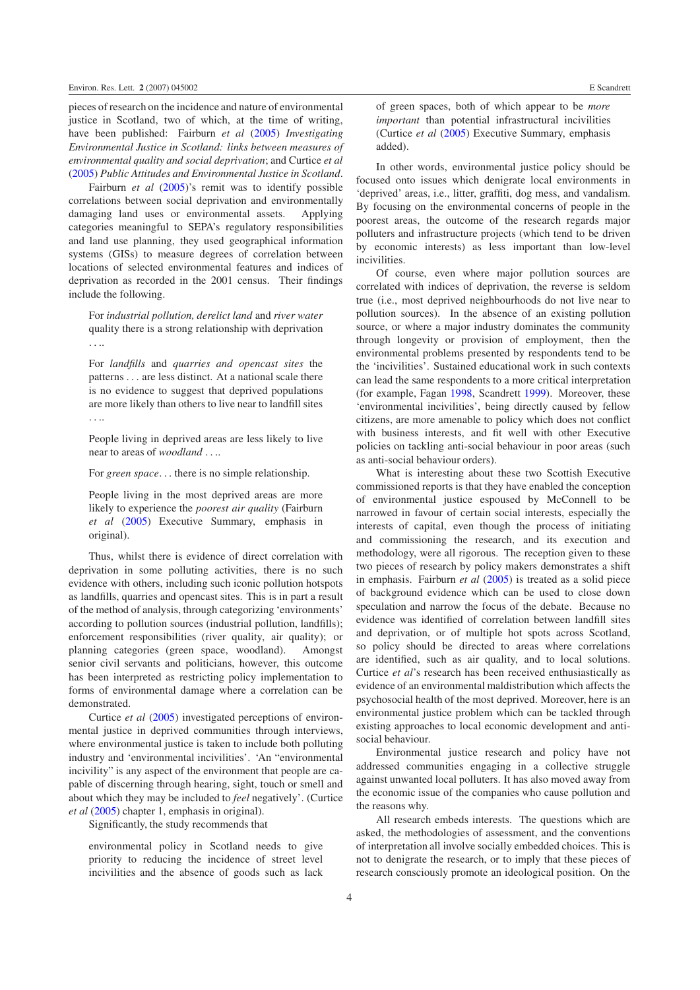pieces of research on the incidence and nature of environmental justice in Scotland, two of which, at the time of writing, have been published: Fairburn *et al* [\(2005\)](#page-6-23) *Investigating Environmental Justice in Scotland: links between measures of environmental quality and social deprivation*; and Curtice *et al* [\(2005\)](#page-5-5) *Public Attitudes and Environmental Justice in Scotland*.

Fairburn *et al* [\(2005\)](#page-6-23)'s remit was to identify possible correlations between social deprivation and environmentally damaging land uses or environmental assets. Applying categories meaningful to SEPA's regulatory responsibilities and land use planning, they used geographical information systems (GISs) to measure degrees of correlation between locations of selected environmental features and indices of deprivation as recorded in the 2001 census. Their findings include the following.

For *industrial pollution, derelict land* and *river water* quality there is a strong relationship with deprivation *...*.

For *landfills* and *quarries and opencast sites* the patterns *...* are less distinct. At a national scale there is no evidence to suggest that deprived populations are more likely than others to live near to landfill sites *...*.

People living in deprived areas are less likely to live near to areas of *woodland ...*.

For *green space...* there is no simple relationship.

People living in the most deprived areas are more likely to experience the *poorest air quality* (Fairburn *et al* [\(2005\)](#page-6-23) Executive Summary, emphasis in original).

Thus, whilst there is evidence of direct correlation with deprivation in some polluting activities, there is no such evidence with others, including such iconic pollution hotspots as landfills, quarries and opencast sites. This is in part a result of the method of analysis, through categorizing 'environments' according to pollution sources (industrial pollution, landfills); enforcement responsibilities (river quality, air quality); or planning categories (green space, woodland). Amongst senior civil servants and politicians, however, this outcome has been interpreted as restricting policy implementation to forms of environmental damage where a correlation can be demonstrated.

Curtice *et al* [\(2005\)](#page-5-5) investigated perceptions of environmental justice in deprived communities through interviews, where environmental justice is taken to include both polluting industry and 'environmental incivilities'. 'An "environmental incivility" is any aspect of the environment that people are capable of discerning through hearing, sight, touch or smell and about which they may be included to *feel* negatively'. (Curtice *et al* [\(2005\)](#page-5-5) chapter 1, emphasis in original).

Significantly, the study recommends that

environmental policy in Scotland needs to give priority to reducing the incidence of street level incivilities and the absence of goods such as lack of green spaces, both of which appear to be *more important* than potential infrastructural incivilities (Curtice *et al* [\(2005\)](#page-5-5) Executive Summary, emphasis added).

In other words, environmental justice policy should be focused onto issues which denigrate local environments in 'deprived' areas, i.e., litter, graffiti, dog mess, and vandalism. By focusing on the environmental concerns of people in the poorest areas, the outcome of the research regards major polluters and infrastructure projects (which tend to be driven by economic interests) as less important than low-level incivilities.

Of course, even where major pollution sources are correlated with indices of deprivation, the reverse is seldom true (i.e., most deprived neighbourhoods do not live near to pollution sources). In the absence of an existing pollution source, or where a major industry dominates the community through longevity or provision of employment, then the environmental problems presented by respondents tend to be the 'incivilities'. Sustained educational work in such contexts can lead the same respondents to a more critical interpretation (for example, Fagan [1998,](#page-6-24) Scandrett [1999\)](#page-6-25). Moreover, these 'environmental incivilities', being directly caused by fellow citizens, are more amenable to policy which does not conflict with business interests, and fit well with other Executive policies on tackling anti-social behaviour in poor areas (such as anti-social behaviour orders).

What is interesting about these two Scottish Executive commissioned reports is that they have enabled the conception of environmental justice espoused by McConnell to be narrowed in favour of certain social interests, especially the interests of capital, even though the process of initiating and commissioning the research, and its execution and methodology, were all rigorous. The reception given to these two pieces of research by policy makers demonstrates a shift in emphasis. Fairburn *et al* [\(2005\)](#page-6-23) is treated as a solid piece of background evidence which can be used to close down speculation and narrow the focus of the debate. Because no evidence was identified of correlation between landfill sites and deprivation, or of multiple hot spots across Scotland, so policy should be directed to areas where correlations are identified, such as air quality, and to local solutions. Curtice *et al*'s research has been received enthusiastically as evidence of an environmental maldistribution which affects the psychosocial health of the most deprived. Moreover, here is an environmental justice problem which can be tackled through existing approaches to local economic development and antisocial behaviour.

Environmental justice research and policy have not addressed communities engaging in a collective struggle against unwanted local polluters. It has also moved away from the economic issue of the companies who cause pollution and the reasons why.

All research embeds interests. The questions which are asked, the methodologies of assessment, and the conventions of interpretation all involve socially embedded choices. This is not to denigrate the research, or to imply that these pieces of research consciously promote an ideological position. On the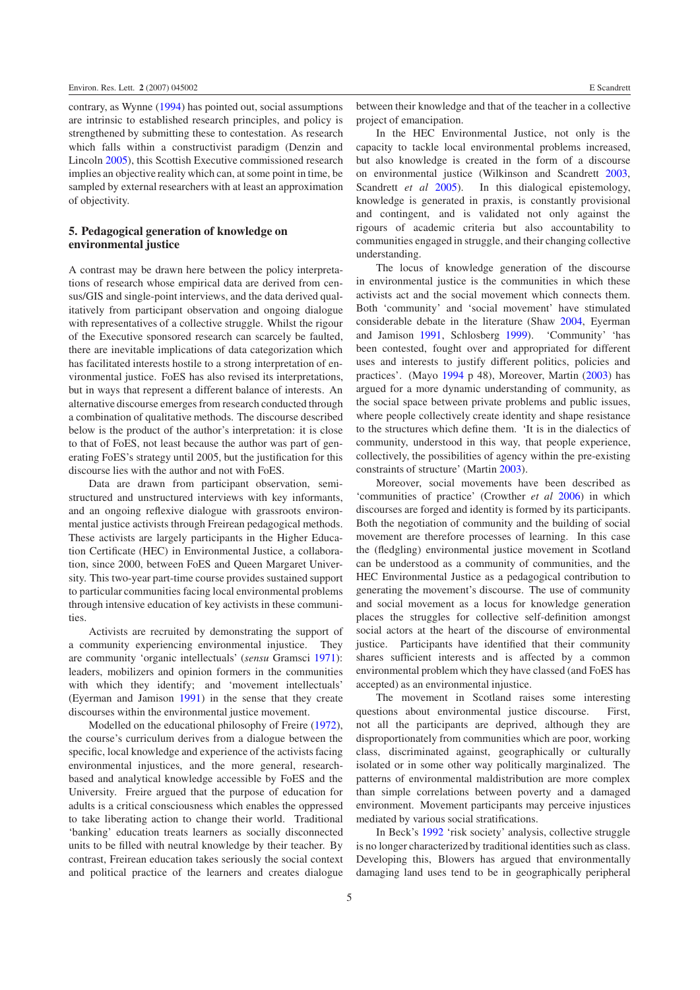contrary, as Wynne [\(1994\)](#page-6-26) has pointed out, social assumptions are intrinsic to established research principles, and policy is strengthened by submitting these to contestation. As research which falls within a constructivist paradigm (Denzin and Lincoln [2005\)](#page-6-4), this Scottish Executive commissioned research implies an objective reality which can, at some point in time, be sampled by external researchers with at least an approximation of objectivity.

## **5. Pedagogical generation of knowledge on environmental justice**

A contrast may be drawn here between the policy interpretations of research whose empirical data are derived from census/GIS and single-point interviews, and the data derived qualitatively from participant observation and ongoing dialogue with representatives of a collective struggle. Whilst the rigour of the Executive sponsored research can scarcely be faulted, there are inevitable implications of data categorization which has facilitated interests hostile to a strong interpretation of environmental justice. FoES has also revised its interpretations, but in ways that represent a different balance of interests. An alternative discourse emerges from research conducted through a combination of qualitative methods. The discourse described below is the product of the author's interpretation: it is close to that of FoES, not least because the author was part of generating FoES's strategy until 2005, but the justification for this discourse lies with the author and not with FoES.

Data are drawn from participant observation, semistructured and unstructured interviews with key informants, and an ongoing reflexive dialogue with grassroots environmental justice activists through Freirean pedagogical methods. These activists are largely participants in the Higher Education Certificate (HEC) in Environmental Justice, a collaboration, since 2000, between FoES and Queen Margaret University. This two-year part-time course provides sustained support to particular communities facing local environmental problems through intensive education of key activists in these communities.

Activists are recruited by demonstrating the support of a community experiencing environmental injustice. They are community 'organic intellectuals' (*sensu* Gramsci [1971\)](#page-6-27): leaders, mobilizers and opinion formers in the communities with which they identify; and 'movement intellectuals' (Eyerman and Jamison [1991\)](#page-6-28) in the sense that they create discourses within the environmental justice movement.

Modelled on the educational philosophy of Freire [\(1972\)](#page-6-29), the course's curriculum derives from a dialogue between the specific, local knowledge and experience of the activists facing environmental injustices, and the more general, researchbased and analytical knowledge accessible by FoES and the University. Freire argued that the purpose of education for adults is a critical consciousness which enables the oppressed to take liberating action to change their world. Traditional 'banking' education treats learners as socially disconnected units to be filled with neutral knowledge by their teacher. By contrast, Freirean education takes seriously the social context and political practice of the learners and creates dialogue

between their knowledge and that of the teacher in a collective project of emancipation.

In the HEC Environmental Justice, not only is the capacity to tackle local environmental problems increased, but also knowledge is created in the form of a discourse on environmental justice (Wilkinson and Scandrett [2003,](#page-6-30) Scandrett *et al* [2005\)](#page-6-31). In this dialogical epistemology, knowledge is generated in praxis, is constantly provisional and contingent, and is validated not only against the rigours of academic criteria but also accountability to communities engaged in struggle, and their changing collective understanding.

The locus of knowledge generation of the discourse in environmental justice is the communities in which these activists act and the social movement which connects them. Both 'community' and 'social movement' have stimulated considerable debate in the literature (Shaw [2004,](#page-6-32) Eyerman and Jamison [1991,](#page-6-28) Schlosberg [1999\)](#page-6-33). 'Community' 'has been contested, fought over and appropriated for different uses and interests to justify different politics, policies and practices'. (Mayo [1994](#page-6-34) p 48), Moreover, Martin [\(2003\)](#page-6-35) has argued for a more dynamic understanding of community, as the social space between private problems and public issues, where people collectively create identity and shape resistance to the structures which define them. 'It is in the dialectics of community, understood in this way, that people experience, collectively, the possibilities of agency within the pre-existing constraints of structure' (Martin [2003\)](#page-6-35).

Moreover, social movements have been described as 'communities of practice' (Crowther *et al* [2006\)](#page-5-6) in which discourses are forged and identity is formed by its participants. Both the negotiation of community and the building of social movement are therefore processes of learning. In this case the (fledgling) environmental justice movement in Scotland can be understood as a community of communities, and the HEC Environmental Justice as a pedagogical contribution to generating the movement's discourse. The use of community and social movement as a locus for knowledge generation places the struggles for collective self-definition amongst social actors at the heart of the discourse of environmental justice. Participants have identified that their community shares sufficient interests and is affected by a common environmental problem which they have classed (and FoES has accepted) as an environmental injustice.

The movement in Scotland raises some interesting questions about environmental justice discourse. First, not all the participants are deprived, although they are disproportionately from communities which are poor, working class, discriminated against, geographically or culturally isolated or in some other way politically marginalized. The patterns of environmental maldistribution are more complex than simple correlations between poverty and a damaged environment. Movement participants may perceive injustices mediated by various social stratifications.

In Beck's [1992](#page-5-7) 'risk society' analysis, collective struggle is no longer characterized by traditional identities such as class. Developing this, Blowers has argued that environmentally damaging land uses tend to be in geographically peripheral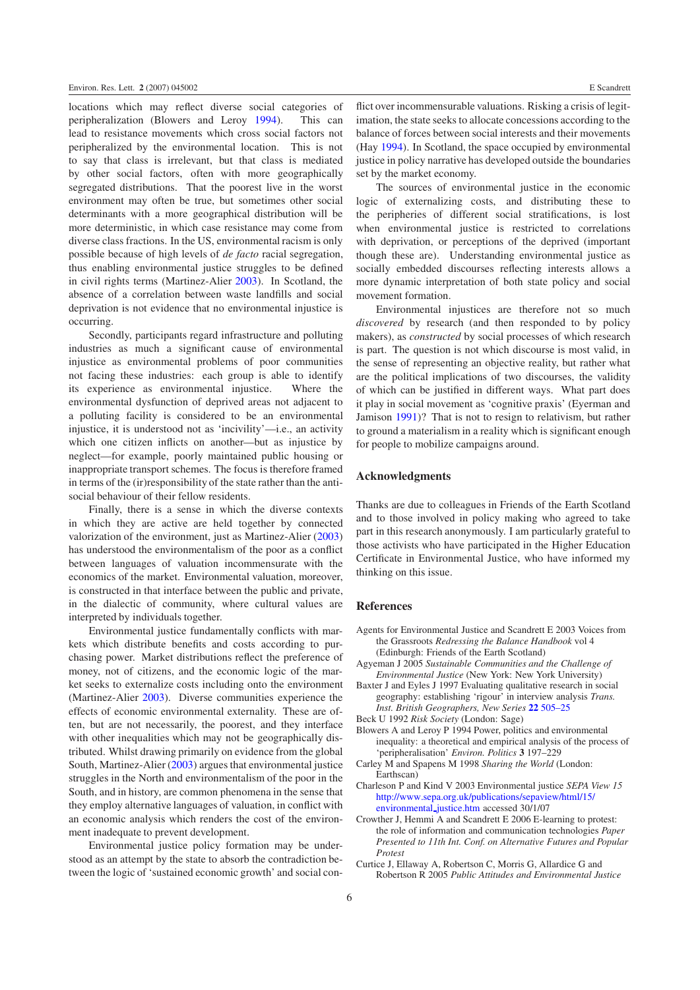locations which may reflect diverse social categories of peripheralization (Blowers and Leroy [1994\)](#page-5-8). This can lead to resistance movements which cross social factors not peripheralized by the environmental location. This is not to say that class is irrelevant, but that class is mediated by other social factors, often with more geographically segregated distributions. That the poorest live in the worst environment may often be true, but sometimes other social determinants with a more geographical distribution will be more deterministic, in which case resistance may come from diverse class fractions. In the US, environmental racism is only possible because of high levels of *de facto* racial segregation, thus enabling environmental justice struggles to be defined in civil rights terms (Martinez-Alier [2003\)](#page-6-22). In Scotland, the absence of a correlation between waste landfills and social deprivation is not evidence that no environmental injustice is occurring.

Secondly, participants regard infrastructure and polluting industries as much a significant cause of environmental injustice as environmental problems of poor communities not facing these industries: each group is able to identify its experience as environmental injustice. Where the environmental dysfunction of deprived areas not adjacent to a polluting facility is considered to be an environmental injustice, it is understood not as 'incivility'—i.e., an activity which one citizen inflicts on another—but as injustice by neglect—for example, poorly maintained public housing or inappropriate transport schemes. The focus is therefore framed in terms of the (ir)responsibility of the state rather than the antisocial behaviour of their fellow residents.

Finally, there is a sense in which the diverse contexts in which they are active are held together by connected valorization of the environment, just as Martinez-Alier [\(2003\)](#page-6-22) has understood the environmentalism of the poor as a conflict between languages of valuation incommensurate with the economics of the market. Environmental valuation, moreover, is constructed in that interface between the public and private, in the dialectic of community, where cultural values are interpreted by individuals together.

Environmental justice fundamentally conflicts with markets which distribute benefits and costs according to purchasing power. Market distributions reflect the preference of money, not of citizens, and the economic logic of the market seeks to externalize costs including onto the environment (Martinez-Alier [2003\)](#page-6-22). Diverse communities experience the effects of economic environmental externality. These are often, but are not necessarily, the poorest, and they interface with other inequalities which may not be geographically distributed. Whilst drawing primarily on evidence from the global South, Martinez-Alier [\(2003\)](#page-6-22) argues that environmental justice struggles in the North and environmentalism of the poor in the South, and in history, are common phenomena in the sense that they employ alternative languages of valuation, in conflict with an economic analysis which renders the cost of the environment inadequate to prevent development.

Environmental justice policy formation may be understood as an attempt by the state to absorb the contradiction between the logic of 'sustained economic growth' and social con-

flict over incommensurable valuations. Risking a crisis of legitimation, the state seeks to allocate concessions according to the balance of forces between social interests and their movements (Hay [1994\)](#page-6-36). In Scotland, the space occupied by environmental justice in policy narrative has developed outside the boundaries set by the market economy.

The sources of environmental justice in the economic logic of externalizing costs, and distributing these to the peripheries of different social stratifications, is lost when environmental justice is restricted to correlations with deprivation, or perceptions of the deprived (important though these are). Understanding environmental justice as socially embedded discourses reflecting interests allows a more dynamic interpretation of both state policy and social movement formation.

Environmental injustices are therefore not so much *discovered* by research (and then responded to by policy makers), as *constructed* by social processes of which research is part. The question is not which discourse is most valid, in the sense of representing an objective reality, but rather what are the political implications of two discourses, the validity of which can be justified in different ways. What part does it play in social movement as 'cognitive praxis' (Eyerman and Jamison [1991\)](#page-6-28)? That is not to resign to relativism, but rather to ground a materialism in a reality which is significant enough for people to mobilize campaigns around.

#### **Acknowledgments**

<span id="page-5-3"></span>Thanks are due to colleagues in Friends of the Earth Scotland and to those involved in policy making who agreed to take part in this research anonymously. I am particularly grateful to those activists who have participated in the Higher Education Certificate in Environmental Justice, who have informed my thinking on this issue.

## <span id="page-5-1"></span><span id="page-5-0"></span>**References**

- <span id="page-5-7"></span>Agents for Environmental Justice and Scandrett E 2003 Voices from the Grassroots *Redressing the Balance Handbook* vol 4 (Edinburgh: Friends of the Earth Scotland)
- <span id="page-5-8"></span>Agyeman J 2005 *Sustainable Communities and the Challenge of Environmental Justice* (New York: New York University)
- <span id="page-5-2"></span>Baxter J and Eyles J 1997 Evaluating qualitative research in social geography: establishing 'rigour' in interview analysis *Trans. Inst. British Geographers, New Series* **22** [505–25](http://dx.doi.org/10.1111/j.0020-2754.1997.00505.x)
- <span id="page-5-4"></span>Beck U 1992 *Risk Society* (London: Sage)
- <span id="page-5-6"></span>Blowers A and Leroy P 1994 Power, politics and environmental inequality: a theoretical and empirical analysis of the process of 'peripheralisation' *Environ. Politics* **3** 197–229
- Carley M and Spapens M 1998 *Sharing the World* (London: Earthscan)
- <span id="page-5-5"></span>Charleson P and Kind V 2003 Environmental justice *SEPA View 15* [http://www.sepa.org.uk/publications/sepaview/html/15/](http://www.sepa.org.uk/publications/sepaview/html/15/environmental_justice.htm) [environmental](http://www.sepa.org.uk/publications/sepaview/html/15/environmental_justice.htm) [justice.htm](http://www.sepa.org.uk/publications/sepaview/html/15/environmental_justice.htm) accessed 30/1/07
- Crowther J, Hemmi A and Scandrett E 2006 E-learning to protest: the role of information and communication technologies *Paper Presented to 11th Int. Conf. on Alternative Futures and Popular Protest*
- Curtice J, Ellaway A, Robertson C, Morris G, Allardice G and Robertson R 2005 *Public Attitudes and Environmental Justice*